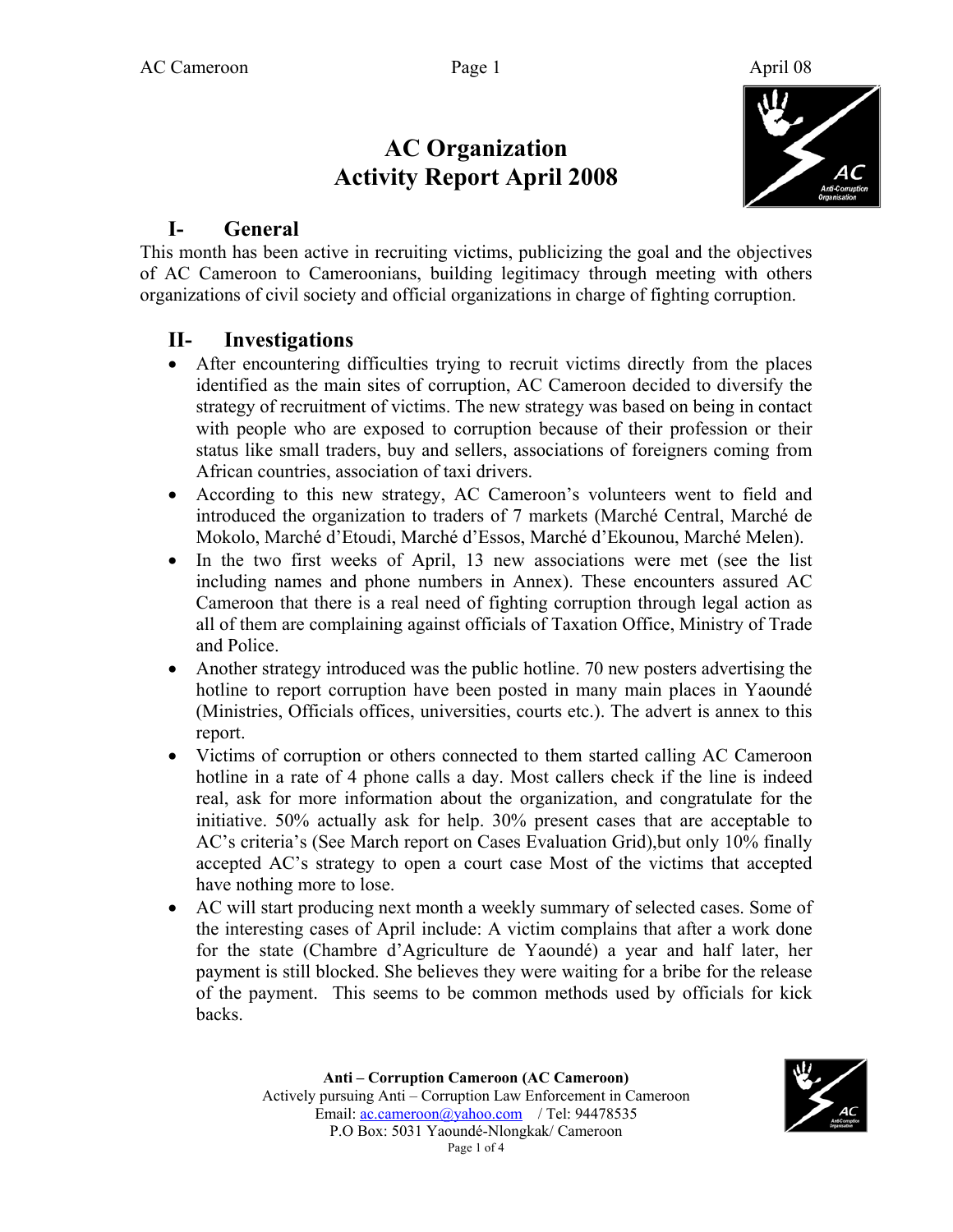# **AC Organization Activity Report April 2008**



#### **I- General**

This month has been active in recruiting victims, publicizing the goal and the objectives of AC Cameroon to Cameroonians, building legitimacy through meeting with others organizations of civil society and official organizations in charge of fighting corruption.

#### **II- Investigations**

- After encountering difficulties trying to recruit victims directly from the places identified as the main sites of corruption, AC Cameroon decided to diversify the strategy of recruitment of victims. The new strategy was based on being in contact with people who are exposed to corruption because of their profession or their status like small traders, buy and sellers, associations of foreigners coming from African countries, association of taxi drivers.
- According to this new strategy, AC Cameroon's volunteers went to field and introduced the organization to traders of 7 markets (Marché Central, Marché de Mokolo, Marché d'Etoudi, Marché d'Essos, Marché d'Ekounou, Marché Melen).
- In the two first weeks of April, 13 new associations were met (see the list including names and phone numbers in Annex). These encounters assured AC Cameroon that there is a real need of fighting corruption through legal action as all of them are complaining against officials of Taxation Office, Ministry of Trade and Police.
- Another strategy introduced was the public hotline. 70 new posters advertising the hotline to report corruption have been posted in many main places in Yaoundé (Ministries, Officials offices, universities, courts etc.). The advert is annex to this report.
- Victims of corruption or others connected to them started calling AC Cameroon hotline in a rate of 4 phone calls a day. Most callers check if the line is indeed real, ask for more information about the organization, and congratulate for the initiative. 50% actually ask for help. 30% present cases that are acceptable to AC's criteria's (See March report on Cases Evaluation Grid),but only 10% finally accepted AC's strategy to open a court case Most of the victims that accepted have nothing more to lose.
- AC will start producing next month a weekly summary of selected cases. Some of the interesting cases of April include: A victim complains that after a work done for the state (Chambre d'Agriculture de Yaoundé) a year and half later, her payment is still blocked. She believes they were waiting for a bribe for the release of the payment. This seems to be common methods used by officials for kick backs.

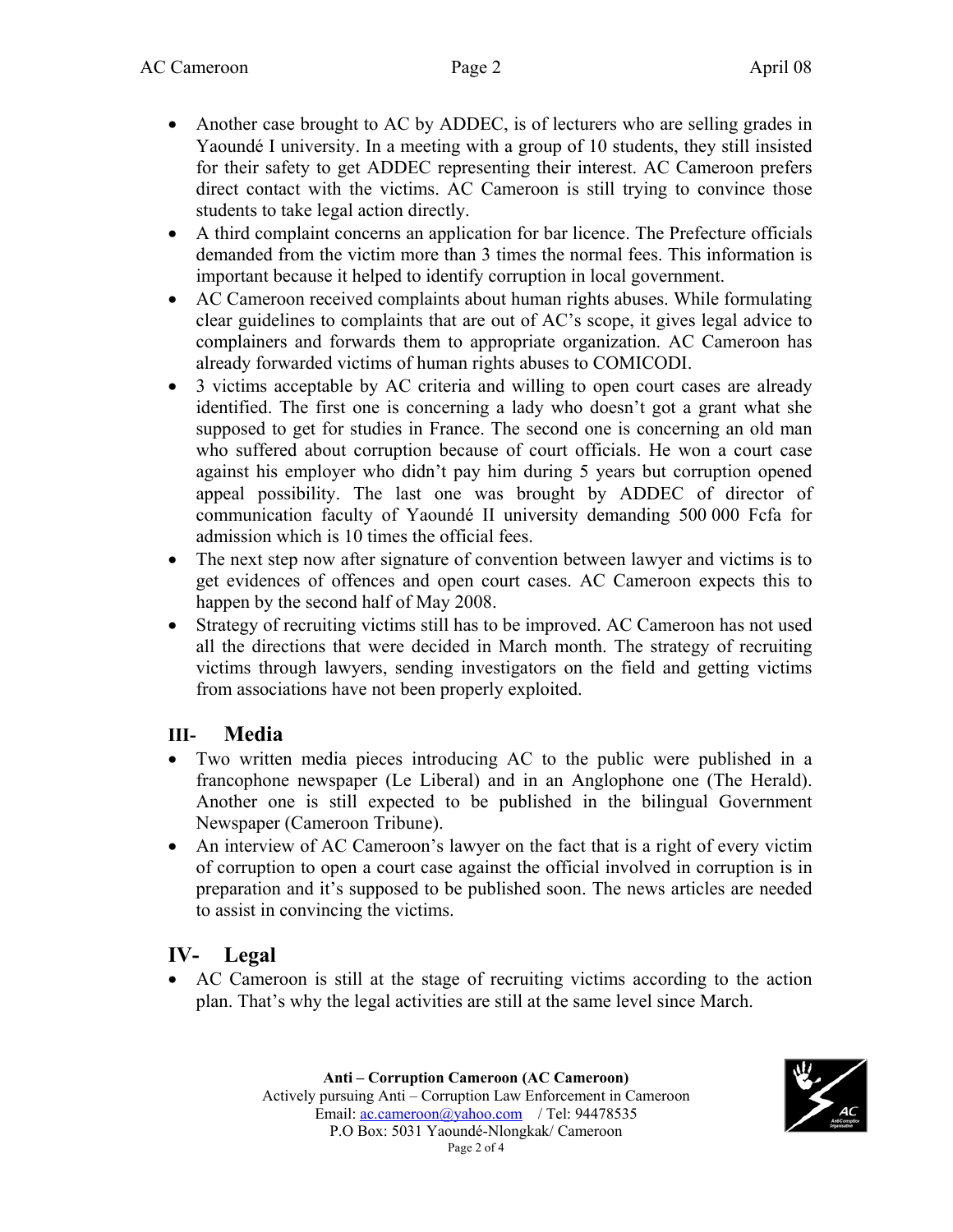- Another case brought to AC by ADDEC, is of lecturers who are selling grades in Yaoundé I university. In a meeting with a group of 10 students, they still insisted for their safety to get ADDEC representing their interest. AC Cameroon prefers direct contact with the victims. AC Cameroon is still trying to convince those students to take legal action directly.
- A third complaint concerns an application for bar licence. The Prefecture officials demanded from the victim more than 3 times the normal fees. This information is important because it helped to identify corruption in local government.
- AC Cameroon received complaints about human rights abuses. While formulating clear guidelines to complaints that are out of AC's scope, it gives legal advice to complainers and forwards them to appropriate organization. AC Cameroon has already forwarded victims of human rights abuses to COMICODI.
- 3 victims acceptable by AC criteria and willing to open court cases are already identified. The first one is concerning a lady who doesn't got a grant what she supposed to get for studies in France. The second one is concerning an old man who suffered about corruption because of court officials. He won a court case against his employer who didn't pay him during 5 years but corruption opened appeal possibility. The last one was brought by ADDEC of director of communication faculty of Yaoundé II university demanding 500 000 Fcfa for admission which is 10 times the official fees.
- The next step now after signature of convention between lawyer and victims is to get evidences of offences and open court cases. AC Cameroon expects this to happen by the second half of May 2008.
- Strategy of recruiting victims still has to be improved. AC Cameroon has not used all the directions that were decided in March month. The strategy of recruiting victims through lawyers, sending investigators on the field and getting victims from associations have not been properly exploited.

#### **III- Media**

- Two written media pieces introducing AC to the public were published in a francophone newspaper (Le Liberal) and in an Anglophone one (The Herald). Another one is still expected to be published in the bilingual Government Newspaper (Cameroon Tribune).
- An interview of AC Cameroon's lawyer on the fact that is a right of every victim of corruption to open a court case against the official involved in corruption is in preparation and it's supposed to be published soon. The news articles are needed to assist in convincing the victims.

## **IV- Legal**

• AC Cameroon is still at the stage of recruiting victims according to the action plan. That's why the legal activities are still at the same level since March.

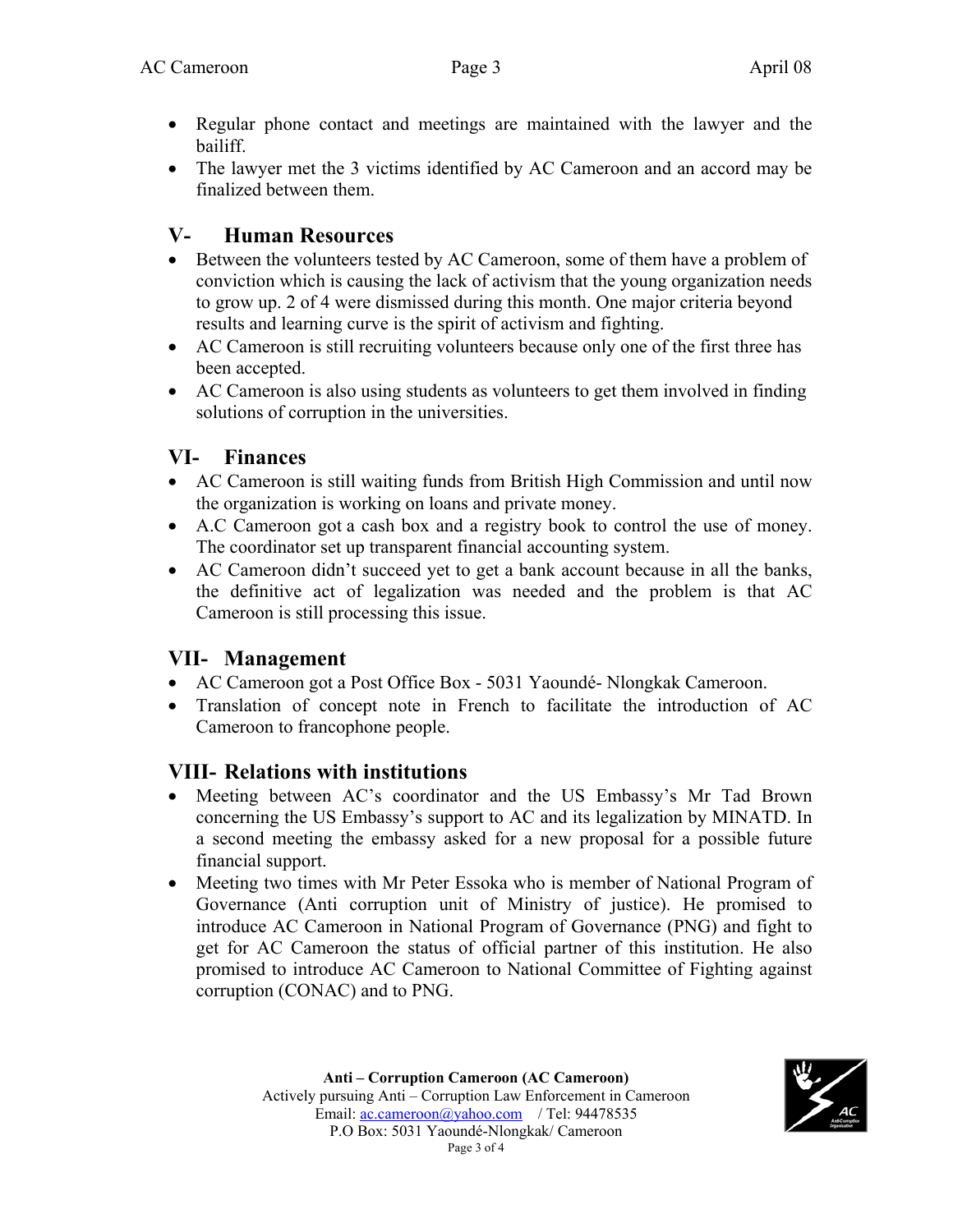- Regular phone contact and meetings are maintained with the lawyer and the bailiff.
- The lawyer met the 3 victims identified by AC Cameroon and an accord may be finalized between them.

## **V- Human Resources**

- Between the volunteers tested by AC Cameroon, some of them have a problem of conviction which is causing the lack of activism that the young organization needs to grow up. 2 of 4 were dismissed during this month. One major criteria beyond results and learning curve is the spirit of activism and fighting.
- AC Cameroon is still recruiting volunteers because only one of the first three has been accepted.
- AC Cameroon is also using students as volunteers to get them involved in finding solutions of corruption in the universities.

# **VI- Finances**

- AC Cameroon is still waiting funds from British High Commission and until now the organization is working on loans and private money.
- A.C Cameroon got a cash box and a registry book to control the use of money. The coordinator set up transparent financial accounting system.
- AC Cameroon didn't succeed yet to get a bank account because in all the banks, the definitive act of legalization was needed and the problem is that AC Cameroon is still processing this issue.

# **VII- Management**

- AC Cameroon got a Post Office Box 5031 Yaoundé- Nlongkak Cameroon.
- Translation of concept note in French to facilitate the introduction of AC Cameroon to francophone people.

# **VIII- Relations with institutions**

- Meeting between AC's coordinator and the US Embassy's Mr Tad Brown concerning the US Embassy's support to AC and its legalization by MINATD. In a second meeting the embassy asked for a new proposal for a possible future financial support.
- Meeting two times with Mr Peter Essoka who is member of National Program of Governance (Anti corruption unit of Ministry of justice). He promised to introduce AC Cameroon in National Program of Governance (PNG) and fight to get for AC Cameroon the status of official partner of this institution. He also promised to introduce AC Cameroon to National Committee of Fighting against corruption (CONAC) and to PNG.